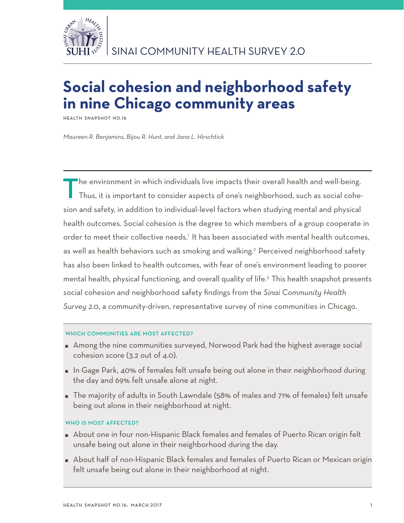

# **Social cohesion and neighborhood safety in nine Chicago community areas**

**Health Snapshot No.16**

*Maureen R. Benjamins, Bijou R. Hunt, and Jana L. Hirschtick*

The environment in which individuals live impacts their overall health and well-being. Thus, it is important to consider aspects of one's neighborhood, such as social cohesion and safety, in addition to individual-level factors when studying mental and physical health outcomes. Social cohesion is the degree to which members of a group cooperate in order to meet their collective needs.1 It has been associated with mental health outcomes, as well as health behaviors such as smoking and walking.<sup>2</sup> Perceived neighborhood safety has also been linked to health outcomes, with fear of one's environment leading to poorer mental health, physical functioning, and overall quality of life.<sup>3</sup> This health snapshot presents social cohesion and neighborhood safety findings from the *Sinai Community Health Survey 2.0*, a community-driven, representative survey of nine communities in Chicago.

## WHICH COMMUNITIES ARE MOST AFFECTED?

- Among the nine communities surveyed, Norwood Park had the highest average social cohesion score (3.2 out of 4.0).
- **In Gage Park, 40% of females felt unsafe being out alone in their neighborhood during** the day and 69% felt unsafe alone at night.
- The majority of adults in South Lawndale (58% of males and 71% of females) felt unsafe being out alone in their neighborhood at night.

## WHO IS MOST AFFECTED?

- About one in four non-Hispanic Black females and females of Puerto Rican origin felt unsafe being out alone in their neighborhood during the day.
- About half of non-Hispanic Black females and females of Puerto Rican or Mexican origin felt unsafe being out alone in their neighborhood at night.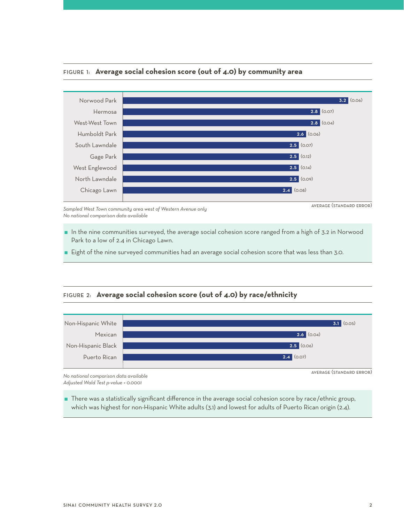

### Figure 1: **Average social cohesion score (out of 4.0) by community area**

*Sampled West Town community area west of Western Avenue only No national comparison data available*

- 
- $\blacksquare$  In the nine communities surveyed, the average social cohesion score ranged from a high of 3.2 in Norwood Park to a low of 2.4 in Chicago Lawn.
- $\blacksquare$  Eight of the nine surveyed communities had an average social cohesion score that was less than 3.0.

#### Figure 2: **Average social cohesion score (out of 4.0) by race/ethnicity**



*No national comparison data available Adjusted Wald Test p-value < 0.0001*

 There was a statistically significant difference in the average social cohesion score by race/ethnic group, which was highest for non-Hispanic White adults (3.1) and lowest for adults of Puerto Rican origin (2.4).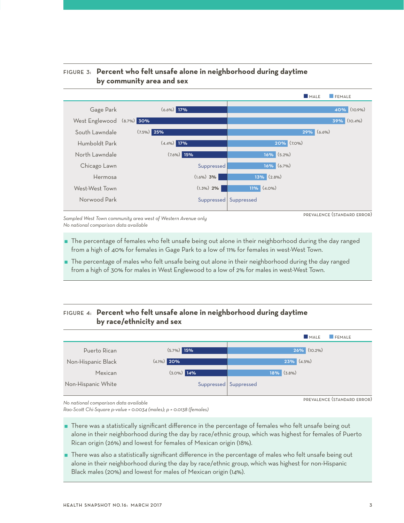

## Figure 3: **Percent who felt unsafe alone in neighborhood during daytime by community area and sex**

*Sampled West Town community area west of Western Avenue only No national comparison data available*

prevalence (standard error)

- The percentage of females who felt unsafe being out alone in their neighborhood during the day ranged from a high of 40% for females in Gage Park to a low of 11% for females in west-West Town.
- The percentage of males who felt unsafe being out alone in their neighborhood during the day ranged from a high of 30% for males in West Englewood to a low of 2% for males in west-West Town.

## Figure 4: **Percent who felt unsafe alone in neighborhood during daytime by race/ethnicity and sex**



prevalence (standard error)

*No national comparison data available*

*Rao-Scott Chi-Square p-value = 0.0034 (males); p = 0.0138 (females)*

 There was a statistically significant difference in the percentage of females who felt unsafe being out alone in their neighborhood during the day by race/ethnic group, which was highest for females of Puerto Rican origin (26%) and lowest for females of Mexican origin (18%).

 There was also a statistically significant difference in the percentage of males who felt unsafe being out alone in their neighborhood during the day by race/ethnic group, which was highest for non-Hispanic Black males (20%) and lowest for males of Mexican origin (14%).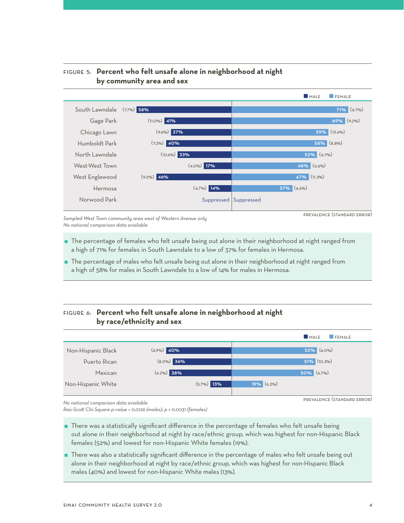

## Figure 5: **Percent who felt unsafe alone in neighborhood at night by community area and sex**

*Sampled West Town community area west of Western Avenue only No national comparison data available*

prevalence (standard error)

- The percentage of females who felt unsafe being out alone in their neighborhood at night ranged from a high of 71% for females in South Lawndale to a low of 37% for females in Hermosa.
- The percentage of males who felt unsafe being out alone in their neighborhood at night ranged from a high of 58% for males in South Lawndale to a low of 14% for males in Hermosa.

# Figure 6: **Percent who felt unsafe alone in neighborhood at night by race/ethnicity and sex**



*No national comparison data available*

*Rao-Scott Chi-Square p-value = 0.0126 (males); p = 0.0031 (females)*

 There was a statistically significant difference in the percentage of females who felt unsafe being out alone in their neighborhood at night by race/ethnic group, which was highest for non-Hispanic Black females (52%) and lowest for non-Hispanic White females (19%).

 There was also a statistically significant difference in the percentage of males who felt unsafe being out alone in their neighborhood at night by race/ethnic group, which was highest for non-Hispanic Black males (40%) and lowest for non-Hispanic White males (13%).